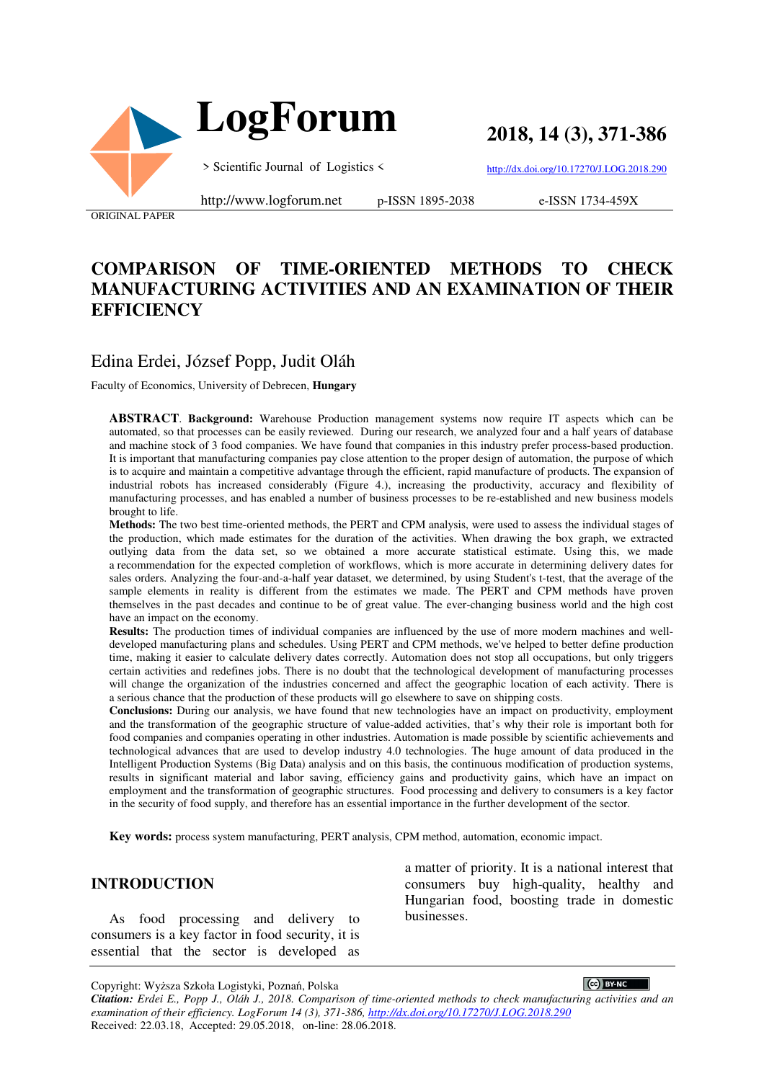

**2018, 14 (3), 371-386**

> Scientific Journal of Logistics <

http://dx.doi.org/10.17270/J.LOG.2018.290

ORIGINAL PAPER

http://www.logforum.net p-ISSN 1895-2038

e-ISSN 1734-459X

# **COMPARISON OF TIME-ORIENTED METHODS TO CHECK MANUFACTURING ACTIVITIES AND AN EXAMINATION OF THEIR EFFICIENCY**

# Edina Erdei, József Popp, Judit Oláh

Faculty of Economics, University of Debrecen, **Hungary**

**ABSTRACT**. **Background:** Warehouse Production management systems now require IT aspects which can be automated, so that processes can be easily reviewed. During our research, we analyzed four and a half years of database and machine stock of 3 food companies. We have found that companies in this industry prefer process-based production. It is important that manufacturing companies pay close attention to the proper design of automation, the purpose of which is to acquire and maintain a competitive advantage through the efficient, rapid manufacture of products. The expansion of industrial robots has increased considerably (Figure 4.), increasing the productivity, accuracy and flexibility of manufacturing processes, and has enabled a number of business processes to be re-established and new business models brought to life.

**Methods:** The two best time-oriented methods, the PERT and CPM analysis, were used to assess the individual stages of the production, which made estimates for the duration of the activities. When drawing the box graph, we extracted outlying data from the data set, so we obtained a more accurate statistical estimate. Using this, we made a recommendation for the expected completion of workflows, which is more accurate in determining delivery dates for sales orders. Analyzing the four-and-a-half year dataset, we determined, by using Student's t-test, that the average of the sample elements in reality is different from the estimates we made. The PERT and CPM methods have proven themselves in the past decades and continue to be of great value. The ever-changing business world and the high cost have an impact on the economy.

**Results:** The production times of individual companies are influenced by the use of more modern machines and welldeveloped manufacturing plans and schedules. Using PERT and CPM methods, we've helped to better define production time, making it easier to calculate delivery dates correctly. Automation does not stop all occupations, but only triggers certain activities and redefines jobs. There is no doubt that the technological development of manufacturing processes will change the organization of the industries concerned and affect the geographic location of each activity. There is a serious chance that the production of these products will go elsewhere to save on shipping costs.

**Conclusions:** During our analysis, we have found that new technologies have an impact on productivity, employment and the transformation of the geographic structure of value-added activities, that's why their role is important both for food companies and companies operating in other industries. Automation is made possible by scientific achievements and technological advances that are used to develop industry 4.0 technologies. The huge amount of data produced in the Intelligent Production Systems (Big Data) analysis and on this basis, the continuous modification of production systems, results in significant material and labor saving, efficiency gains and productivity gains, which have an impact on employment and the transformation of geographic structures. Food processing and delivery to consumers is a key factor in the security of food supply, and therefore has an essential importance in the further development of the sector.

**Key words:** process system manufacturing, PERT analysis, CPM method, automation, economic impact.

### **INTRODUCTION**

As food processing and delivery to consumers is a key factor in food security, it is essential that the sector is developed as a matter of priority. It is a national interest that consumers buy high-quality, healthy and Hungarian food, boosting trade in domestic businesses.

Copyright: Wyższa Szkoła Logistyki, Poznań, Polska

 $\left(\text{c}\right)$  BY-NC *Citation: Erdei E., Popp J., Oláh J., 2018. Comparison of time-oriented methods to check manufacturing activities and an examination of their efficiency. LogForum 14 (3), 371-386, http://dx.doi.org/10.17270/J.LOG.2018.290*  Received: 22.03.18, Accepted: 29.05.2018, on-line: 28.06.2018.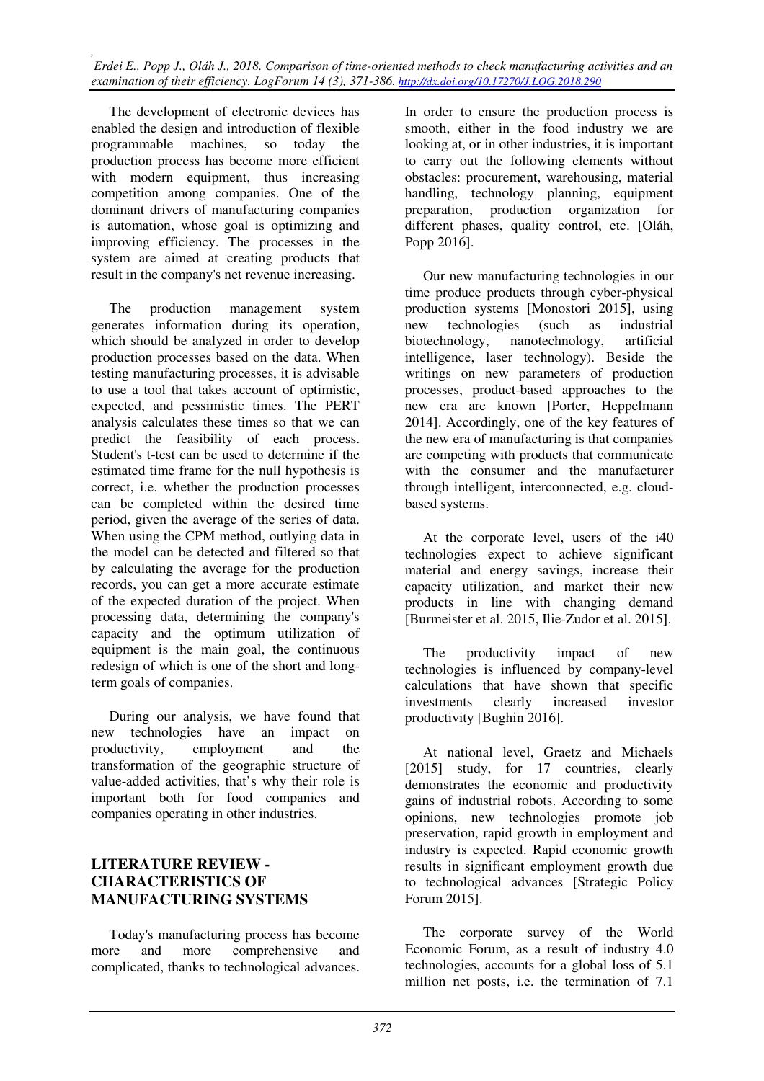The development of electronic devices has enabled the design and introduction of flexible programmable machines, so today the production process has become more efficient with modern equipment, thus increasing competition among companies. One of the dominant drivers of manufacturing companies is automation, whose goal is optimizing and improving efficiency. The processes in the system are aimed at creating products that result in the company's net revenue increasing.

The production management system generates information during its operation, which should be analyzed in order to develop production processes based on the data. When testing manufacturing processes, it is advisable to use a tool that takes account of optimistic, expected, and pessimistic times. The PERT analysis calculates these times so that we can predict the feasibility of each process. Student's t-test can be used to determine if the estimated time frame for the null hypothesis is correct, i.e. whether the production processes can be completed within the desired time period, given the average of the series of data. When using the CPM method, outlying data in the model can be detected and filtered so that by calculating the average for the production records, you can get a more accurate estimate of the expected duration of the project. When processing data, determining the company's capacity and the optimum utilization of equipment is the main goal, the continuous redesign of which is one of the short and longterm goals of companies.

During our analysis, we have found that new technologies have an impact on productivity, employment and the transformation of the geographic structure of value-added activities, that's why their role is important both for food companies and companies operating in other industries.

## **LITERATURE REVIEW - CHARACTERISTICS OF MANUFACTURING SYSTEMS**

Today's manufacturing process has become more and more comprehensive and complicated, thanks to technological advances.

In order to ensure the production process is smooth, either in the food industry we are looking at, or in other industries, it is important to carry out the following elements without obstacles: procurement, warehousing, material handling, technology planning, equipment preparation, production organization for different phases, quality control, etc. [Oláh, Popp 2016].

Our new manufacturing technologies in our time produce products through cyber-physical production systems [Monostori 2015], using new technologies (such as industrial biotechnology, nanotechnology, artificial intelligence, laser technology). Beside the writings on new parameters of production processes, product-based approaches to the new era are known [Porter, Heppelmann 2014]. Accordingly, one of the key features of the new era of manufacturing is that companies are competing with products that communicate with the consumer and the manufacturer through intelligent, interconnected, e.g. cloudbased systems.

At the corporate level, users of the i40 technologies expect to achieve significant material and energy savings, increase their capacity utilization, and market their new products in line with changing demand [Burmeister et al. 2015, Ilie-Zudor et al. 2015].

The productivity impact of new technologies is influenced by company-level calculations that have shown that specific investments clearly increased investor productivity [Bughin 2016].

At national level, Graetz and Michaels [2015] study, for 17 countries, clearly demonstrates the economic and productivity gains of industrial robots. According to some opinions, new technologies promote job preservation, rapid growth in employment and industry is expected. Rapid economic growth results in significant employment growth due to technological advances [Strategic Policy Forum 2015].

The corporate survey of the World Economic Forum, as a result of industry 4.0 technologies, accounts for a global loss of 5.1 million net posts, i.e. the termination of 7.1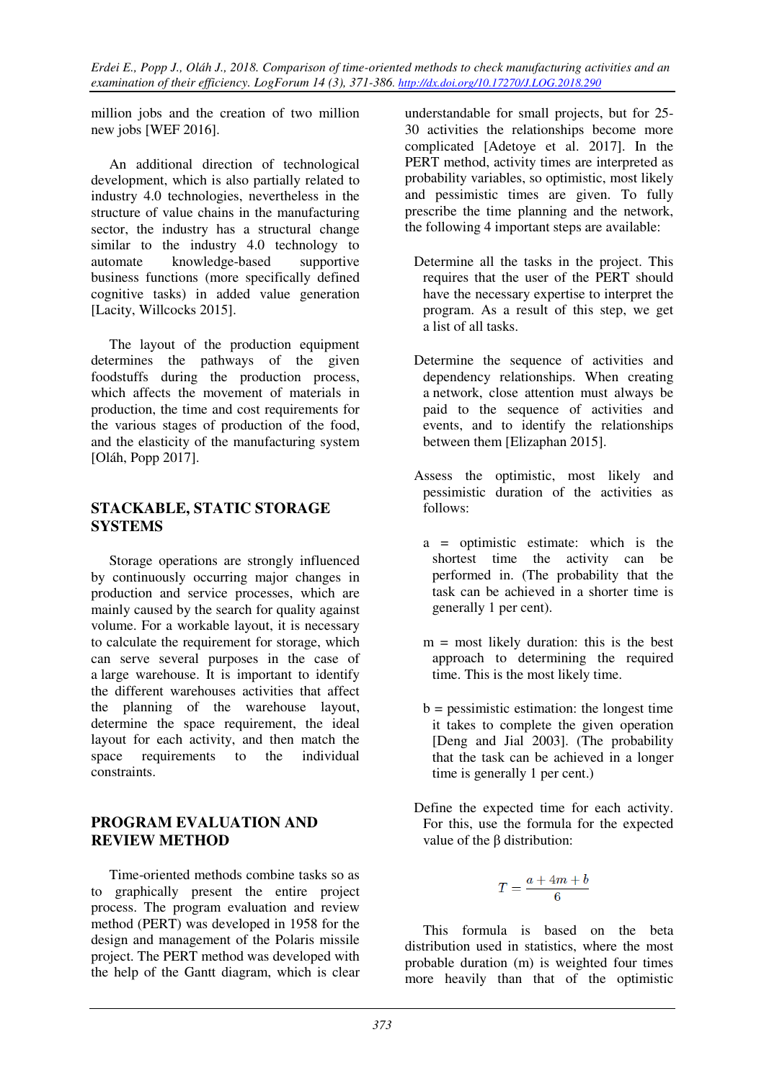million jobs and the creation of two million new jobs [WEF 2016].

An additional direction of technological development, which is also partially related to industry 4.0 technologies, nevertheless in the structure of value chains in the manufacturing sector, the industry has a structural change similar to the industry 4.0 technology to automate knowledge-based supportive business functions (more specifically defined cognitive tasks) in added value generation [Lacity, Willcocks 2015].

The layout of the production equipment determines the pathways of the given foodstuffs during the production process, which affects the movement of materials in production, the time and cost requirements for the various stages of production of the food, and the elasticity of the manufacturing system [Oláh, Popp 2017].

## **STACKABLE, STATIC STORAGE SYSTEMS**

Storage operations are strongly influenced by continuously occurring major changes in production and service processes, which are mainly caused by the search for quality against volume. For a workable layout, it is necessary to calculate the requirement for storage, which can serve several purposes in the case of a large warehouse. It is important to identify the different warehouses activities that affect the planning of the warehouse layout, determine the space requirement, the ideal layout for each activity, and then match the space requirements to the individual constraints.

## **PROGRAM EVALUATION AND REVIEW METHOD**

Time-oriented methods combine tasks so as to graphically present the entire project process. The program evaluation and review method (PERT) was developed in 1958 for the design and management of the Polaris missile project. The PERT method was developed with the help of the Gantt diagram, which is clear

understandable for small projects, but for 25- 30 activities the relationships become more complicated [Adetoye et al. 2017]. In the PERT method, activity times are interpreted as probability variables, so optimistic, most likely and pessimistic times are given. To fully prescribe the time planning and the network, the following 4 important steps are available:

- Determine all the tasks in the project. This requires that the user of the PERT should have the necessary expertise to interpret the program. As a result of this step, we get a list of all tasks.
- Determine the sequence of activities and dependency relationships. When creating a network, close attention must always be paid to the sequence of activities and events, and to identify the relationships between them [Elizaphan 2015].
- Assess the optimistic, most likely and pessimistic duration of the activities as follows:
	- a = optimistic estimate: which is the shortest time the activity can be performed in. (The probability that the task can be achieved in a shorter time is generally 1 per cent).
	- $m =$  most likely duration: this is the best approach to determining the required time. This is the most likely time.
	- $b =$  pessimistic estimation: the longest time it takes to complete the given operation [Deng and Jial 2003]. (The probability that the task can be achieved in a longer time is generally 1 per cent.)
- Define the expected time for each activity. For this, use the formula for the expected value of the β distribution:

$$
T = \frac{a + 4m + b}{6}
$$

This formula is based on the beta distribution used in statistics, where the most probable duration (m) is weighted four times more heavily than that of the optimistic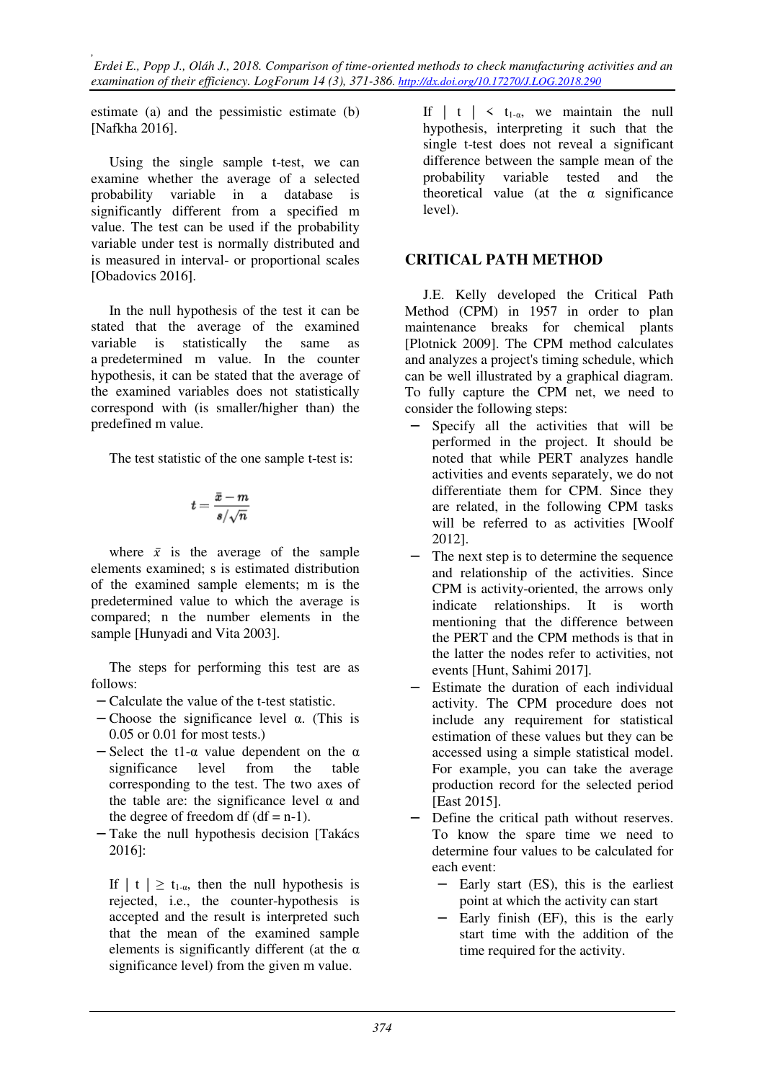estimate (a) and the pessimistic estimate (b) [Nafkha 2016].

Using the single sample t-test, we can examine whether the average of a selected probability variable in a database is significantly different from a specified m value. The test can be used if the probability variable under test is normally distributed and is measured in interval- or proportional scales [Obadovics 2016].

In the null hypothesis of the test it can be stated that the average of the examined variable is statistically the same as a predetermined m value. In the counter hypothesis, it can be stated that the average of the examined variables does not statistically correspond with (is smaller/higher than) the predefined m value.

The test statistic of the one sample t-test is:

$$
t=\frac{\bar{x}-m}{s/\sqrt{n}}
$$

where  $\bar{x}$  is the average of the sample elements examined; s is estimated distribution of the examined sample elements; m is the predetermined value to which the average is compared; n the number elements in the sample [Hunyadi and Vita 2003].

The steps for performing this test are as follows:

- − Calculate the value of the t-test statistic.
- − Choose the significance level α. (This is 0.05 or 0.01 for most tests.)
- $-$  Select the t1- $\alpha$  value dependent on the  $\alpha$ significance level from the table corresponding to the test. The two axes of the table are: the significance level  $\alpha$  and the degree of freedom df  $(df = n-1)$ .
- − Take the null hypothesis decision [Takács 2016]:

If  $| t | \ge t_{1-\alpha}$ , then the null hypothesis is rejected, i.e., the counter-hypothesis is accepted and the result is interpreted such that the mean of the examined sample elements is significantly different (at the  $\alpha$ significance level) from the given m value.

If  $| t | < t_{1-\alpha}$ , we maintain the null hypothesis, interpreting it such that the single t-test does not reveal a significant difference between the sample mean of the probability variable tested and the theoretical value (at the  $\alpha$  significance level).

## **CRITICAL PATH METHOD**

J.E. Kelly developed the Critical Path Method (CPM) in 1957 in order to plan maintenance breaks for chemical plants [Plotnick 2009]. The CPM method calculates and analyzes a project's timing schedule, which can be well illustrated by a graphical diagram. To fully capture the CPM net, we need to consider the following steps:

- − Specify all the activities that will be performed in the project. It should be noted that while PERT analyzes handle activities and events separately, we do not differentiate them for CPM. Since they are related, in the following CPM tasks will be referred to as activities [Woolf 2012].
- The next step is to determine the sequence and relationship of the activities. Since CPM is activity-oriented, the arrows only indicate relationships. It is worth mentioning that the difference between the PERT and the CPM methods is that in the latter the nodes refer to activities, not events [Hunt, Sahimi 2017].
- Estimate the duration of each individual activity. The CPM procedure does not include any requirement for statistical estimation of these values but they can be accessed using a simple statistical model. For example, you can take the average production record for the selected period [East 2015].
- Define the critical path without reserves. To know the spare time we need to determine four values to be calculated for each event:
	- − Early start (ES), this is the earliest point at which the activity can start
	- − Early finish (EF), this is the early start time with the addition of the time required for the activity.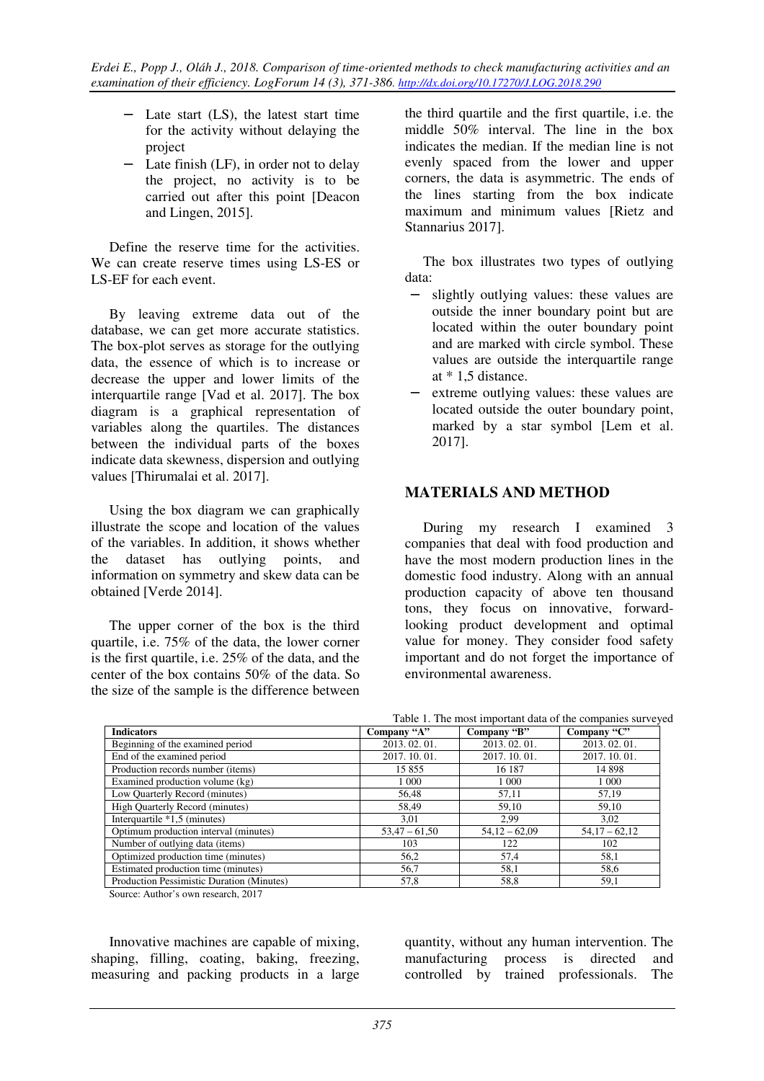- − Late start (LS), the latest start time for the activity without delaying the project
- − Late finish (LF), in order not to delay the project, no activity is to be carried out after this point [Deacon and Lingen, 2015].

Define the reserve time for the activities. We can create reserve times using LS-ES or LS-EF for each event.

By leaving extreme data out of the database, we can get more accurate statistics. The box-plot serves as storage for the outlying data, the essence of which is to increase or decrease the upper and lower limits of the interquartile range [Vad et al. 2017]. The box diagram is a graphical representation of variables along the quartiles. The distances between the individual parts of the boxes indicate data skewness, dispersion and outlying values [Thirumalai et al. 2017].

Using the box diagram we can graphically illustrate the scope and location of the values of the variables. In addition, it shows whether the dataset has outlying points, and information on symmetry and skew data can be obtained [Verde 2014].

The upper corner of the box is the third quartile, i.e. 75% of the data, the lower corner is the first quartile, i.e. 25% of the data, and the center of the box contains 50% of the data. So the size of the sample is the difference between

the third quartile and the first quartile, i.e. the middle 50% interval. The line in the box indicates the median. If the median line is not evenly spaced from the lower and upper corners, the data is asymmetric. The ends of the lines starting from the box indicate maximum and minimum values [Rietz and Stannarius 2017].

The box illustrates two types of outlying data:

- − slightly outlying values: these values are outside the inner boundary point but are located within the outer boundary point and are marked with circle symbol. These values are outside the interquartile range at \* 1,5 distance.
- extreme outlying values: these values are located outside the outer boundary point, marked by a star symbol [Lem et al. 2017].

## **MATERIALS AND METHOD**

During my research I examined 3 companies that deal with food production and have the most modern production lines in the domestic food industry. Along with an annual production capacity of above ten thousand tons, they focus on innovative, forwardlooking product development and optimal value for money. They consider food safety important and do not forget the importance of environmental awareness.

|                                           |                 |                 | Table 1. The most important data of the companies surveyed |
|-------------------------------------------|-----------------|-----------------|------------------------------------------------------------|
| <b>Indicators</b>                         | Company "A"     | Company "B"     | Company "C"                                                |
| Beginning of the examined period          | 2013.02.01.     | 2013.02.01.     | 2013.02.01.                                                |
| End of the examined period                | 2017. 10. 01.   | 2017. 10. 01.   | 2017.10.01.                                                |
| Production records number (items)         | 15855           | 16 187          | 14 8 98                                                    |
| Examined production volume (kg)           | 1 0 0 0         | 1 0 0 0         | 1 0 0 0                                                    |
| Low Quarterly Record (minutes)            | 56.48           | 57,11           | 57.19                                                      |
| <b>High Quarterly Record (minutes)</b>    | 58,49           | 59,10           | 59,10                                                      |
| Interquartile $*1,5$ (minutes)            | 3,01            | 2.99            | 3,02                                                       |
| Optimum production interval (minutes)     | $53,47 - 61,50$ | $54,12 - 62,09$ | $54,17-62,12$                                              |
| Number of outlying data (items)           | 103             | 122             | 102                                                        |
| Optimized production time (minutes)       | 56,2            | 57,4            | 58,1                                                       |
| Estimated production time (minutes)       | 56,7            | 58,1            | 58,6                                                       |
| Production Pessimistic Duration (Minutes) | 57,8            | 58,8            | 59,1                                                       |

Source: Author's own research, 2017

Innovative machines are capable of mixing, shaping, filling, coating, baking, freezing, measuring and packing products in a large quantity, without any human intervention. The manufacturing process is directed and controlled by trained professionals. The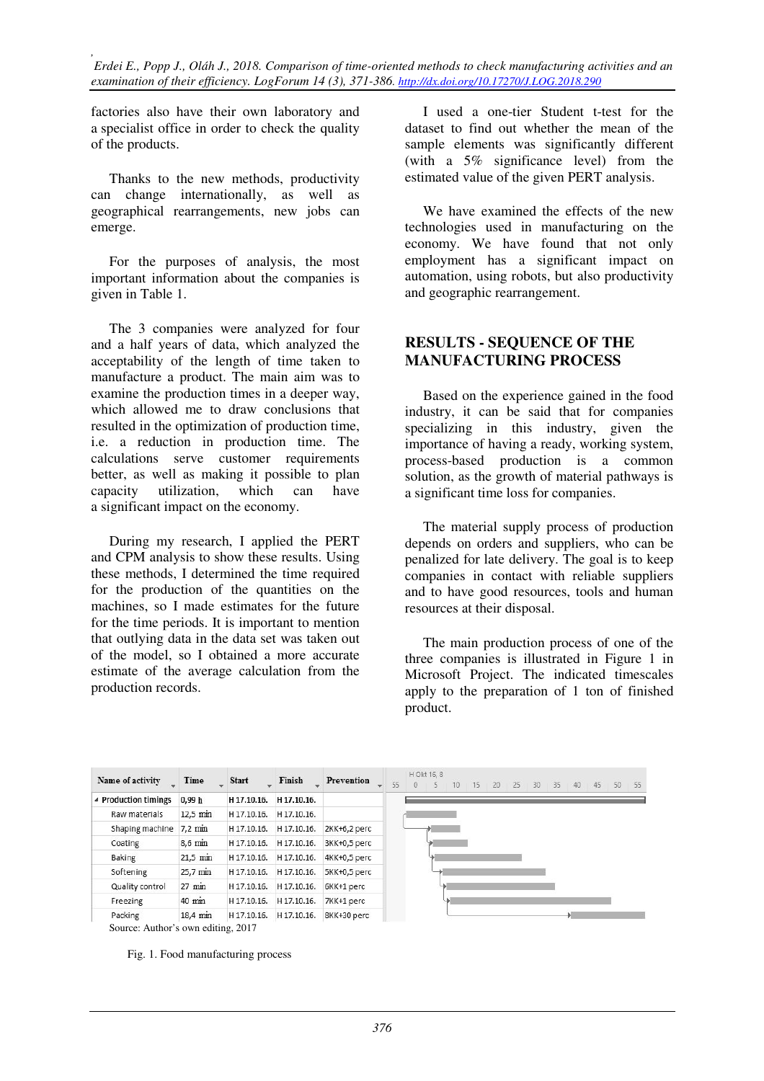factories also have their own laboratory and a specialist office in order to check the quality of the products.

Thanks to the new methods, productivity can change internationally, as well as geographical rearrangements, new jobs can emerge.

For the purposes of analysis, the most important information about the companies is given in Table 1.

The 3 companies were analyzed for four and a half years of data, which analyzed the acceptability of the length of time taken to manufacture a product. The main aim was to examine the production times in a deeper way, which allowed me to draw conclusions that resulted in the optimization of production time, i.e. a reduction in production time. The calculations serve customer requirements better, as well as making it possible to plan capacity utilization, which can have a significant impact on the economy.

During my research, I applied the PERT and CPM analysis to show these results. Using these methods, I determined the time required for the production of the quantities on the machines, so I made estimates for the future for the time periods. It is important to mention that outlying data in the data set was taken out of the model, so I obtained a more accurate estimate of the average calculation from the production records.

I used a one-tier Student t-test for the dataset to find out whether the mean of the sample elements was significantly different (with a 5% significance level) from the estimated value of the given PERT analysis.

We have examined the effects of the new technologies used in manufacturing on the economy. We have found that not only employment has a significant impact on automation, using robots, but also productivity and geographic rearrangement.

#### **RESULTS - SEQUENCE OF THE MANUFACTURING PROCESS**

Based on the experience gained in the food industry, it can be said that for companies specializing in this industry, given the importance of having a ready, working system, process-based production is a common solution, as the growth of material pathways is a significant time loss for companies.

The material supply process of production depends on orders and suppliers, who can be penalized for late delivery. The goal is to keep companies in contact with reliable suppliers and to have good resources, tools and human resources at their disposal.

The main production process of one of the three companies is illustrated in Figure 1 in Microsoft Project. The indicated timescales apply to the preparation of 1 ton of finished product.

| Name of activity     | Time              | <b>Start</b> | Finish      | Prevention   | 55 | H Okt 16, 8<br>5 | 10 | 15 | 20 | 25 | 30 | 135 | 40 | 45 | 50 | 55 |
|----------------------|-------------------|--------------|-------------|--------------|----|------------------|----|----|----|----|----|-----|----|----|----|----|
| ▲ Production timings | 0.99h             | H 17.10.16.  | H 17.10.16. |              |    |                  |    |    |    |    |    |     |    |    |    |    |
| Raw materials        | $12.5$ min        | H 17.10.16.  | H 17.10.16. |              |    |                  |    |    |    |    |    |     |    |    |    |    |
| Shaping machine      | $7.2 \text{ min}$ | H 17.10.16.  | H 17.10.16. | 2KK+6,2 perc |    |                  |    |    |    |    |    |     |    |    |    |    |
| Coating              | $8.6$ min         | H 17.10.16.  | H 17.10.16. | 3KK+0,5 perc |    |                  |    |    |    |    |    |     |    |    |    |    |
| Baking               | $21.5$ min        | H 17.10.16.  | H 17.10.16. | 4KK+0,5 perc |    |                  |    |    |    |    |    |     |    |    |    |    |
| Softening            | 25,7 min          | H 17.10.16.  | H 17.10.16. | 5KK+0,5 perc |    |                  |    |    |    |    |    |     |    |    |    |    |
| Quality control      | $27 \text{ min}$  | H 17.10.16.  | H 17.10.16. | 6KK+1 perc   |    |                  |    |    |    |    |    |     |    |    |    |    |
| Freezing             | 40 min            | H 17.10.16.  | H 17.10.16. | 7KK+1 perc   |    |                  |    |    |    |    |    |     |    |    |    |    |
| Packing              | 18,4 min          | H 17.10.16.  | H 17.10.16. | 8KK+30 perc  |    |                  |    |    |    |    |    |     |    |    |    |    |

Source: Author's own editing, 2017

Fig. 1. Food manufacturing process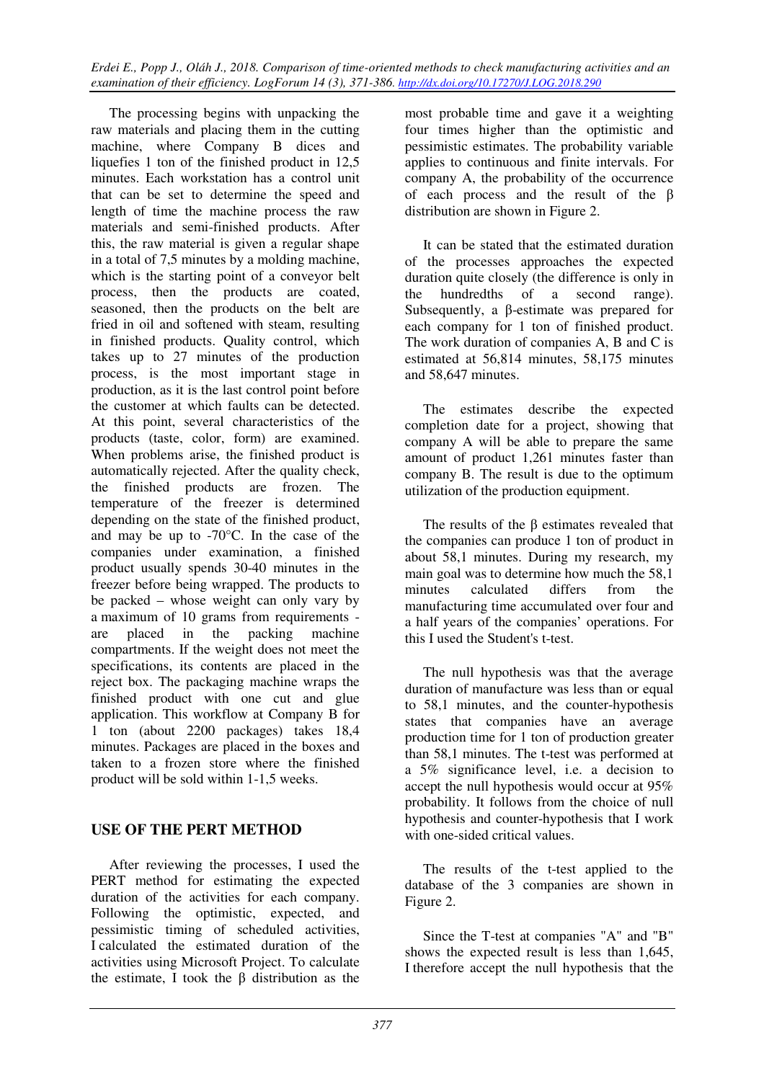The processing begins with unpacking the raw materials and placing them in the cutting machine, where Company B dices and liquefies 1 ton of the finished product in 12,5 minutes. Each workstation has a control unit that can be set to determine the speed and length of time the machine process the raw materials and semi-finished products. After this, the raw material is given a regular shape in a total of 7,5 minutes by a molding machine, which is the starting point of a conveyor belt process, then the products are coated, seasoned, then the products on the belt are fried in oil and softened with steam, resulting in finished products. Quality control, which takes up to 27 minutes of the production process, is the most important stage in production, as it is the last control point before the customer at which faults can be detected. At this point, several characteristics of the products (taste, color, form) are examined. When problems arise, the finished product is automatically rejected. After the quality check, the finished products are frozen. The temperature of the freezer is determined depending on the state of the finished product, and may be up to -70°C. In the case of the companies under examination, a finished product usually spends 30-40 minutes in the freezer before being wrapped. The products to be packed – whose weight can only vary by a maximum of 10 grams from requirements are placed in the packing machine compartments. If the weight does not meet the specifications, its contents are placed in the reject box. The packaging machine wraps the finished product with one cut and glue application. This workflow at Company B for 1 ton (about 2200 packages) takes 18,4 minutes. Packages are placed in the boxes and taken to a frozen store where the finished product will be sold within 1-1,5 weeks.

## **USE OF THE PERT METHOD**

After reviewing the processes, I used the PERT method for estimating the expected duration of the activities for each company. Following the optimistic, expected, and pessimistic timing of scheduled activities, I calculated the estimated duration of the activities using Microsoft Project. To calculate the estimate, I took the β distribution as the

most probable time and gave it a weighting four times higher than the optimistic and pessimistic estimates. The probability variable applies to continuous and finite intervals. For company A, the probability of the occurrence of each process and the result of the β distribution are shown in Figure 2.

It can be stated that the estimated duration of the processes approaches the expected duration quite closely (the difference is only in the hundredths of a second range). Subsequently, a β-estimate was prepared for each company for 1 ton of finished product. The work duration of companies A, B and C is estimated at 56,814 minutes, 58,175 minutes and 58,647 minutes.

The estimates describe the expected completion date for a project, showing that company A will be able to prepare the same amount of product 1,261 minutes faster than company B. The result is due to the optimum utilization of the production equipment.

The results of the β estimates revealed that the companies can produce 1 ton of product in about 58,1 minutes. During my research, my main goal was to determine how much the 58.1 minutes calculated differs from the manufacturing time accumulated over four and a half years of the companies' operations. For this I used the Student's t-test.

The null hypothesis was that the average duration of manufacture was less than or equal to 58,1 minutes, and the counter-hypothesis states that companies have an average production time for 1 ton of production greater than 58,1 minutes. The t-test was performed at a 5% significance level, i.e. a decision to accept the null hypothesis would occur at 95% probability. It follows from the choice of null hypothesis and counter-hypothesis that I work with one-sided critical values.

The results of the t-test applied to the database of the 3 companies are shown in Figure 2.

Since the T-test at companies "A" and "B" shows the expected result is less than 1,645, I therefore accept the null hypothesis that the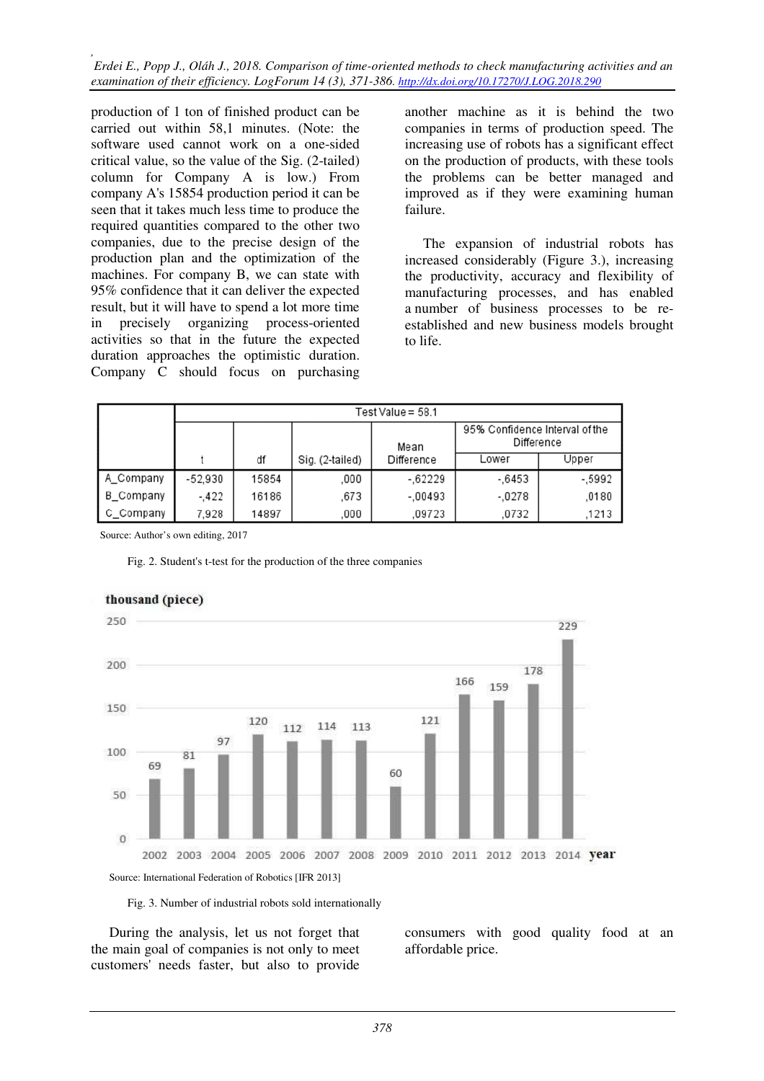production of 1 ton of finished product can be carried out within 58,1 minutes. (Note: the software used cannot work on a one-sided critical value, so the value of the Sig. (2-tailed) column for Company A is low.) From company A's 15854 production period it can be seen that it takes much less time to produce the required quantities compared to the other two companies, due to the precise design of the production plan and the optimization of the machines. For company B, we can state with 95% confidence that it can deliver the expected result, but it will have to spend a lot more time in precisely organizing process-oriented activities so that in the future the expected duration approaches the optimistic duration. Company C should focus on purchasing

another machine as it is behind the two companies in terms of production speed. The increasing use of robots has a significant effect on the production of products, with these tools the problems can be better managed and improved as if they were examining human failure.

The expansion of industrial robots has increased considerably (Figure 3.), increasing the productivity, accuracy and flexibility of manufacturing processes, and has enabled a number of business processes to be reestablished and new business models brought to life.

|           | Test Value = $58.1$ |       |                 |            |                                              |         |  |  |  |  |  |
|-----------|---------------------|-------|-----------------|------------|----------------------------------------------|---------|--|--|--|--|--|
|           |                     |       |                 | Mean       | 95% Confidence Interval of the<br>Difference |         |  |  |  |  |  |
|           |                     | df    | Sig. (2-tailed) | Difference | Lower                                        | Upper   |  |  |  |  |  |
| A_Company | $-52,930$           | 15854 | ,000            | $-0.62229$ | $-6453$                                      | $-5992$ |  |  |  |  |  |
| B Company | $-.422$             | 16186 | .673            | $-.00493$  | $-.0278$                                     | .0180   |  |  |  |  |  |
| C Company | 7,928               | 14897 | ,000            | .09723     | .0732                                        | ,1213   |  |  |  |  |  |

Source: Author's own editing, 2017

Fig. 2. Student's t-test for the production of the three companies



#### thousand (piece)

Fig. 3. Number of industrial robots sold internationally

During the analysis, let us not forget that the main goal of companies is not only to meet customers' needs faster, but also to provide

consumers with good quality food at an affordable price.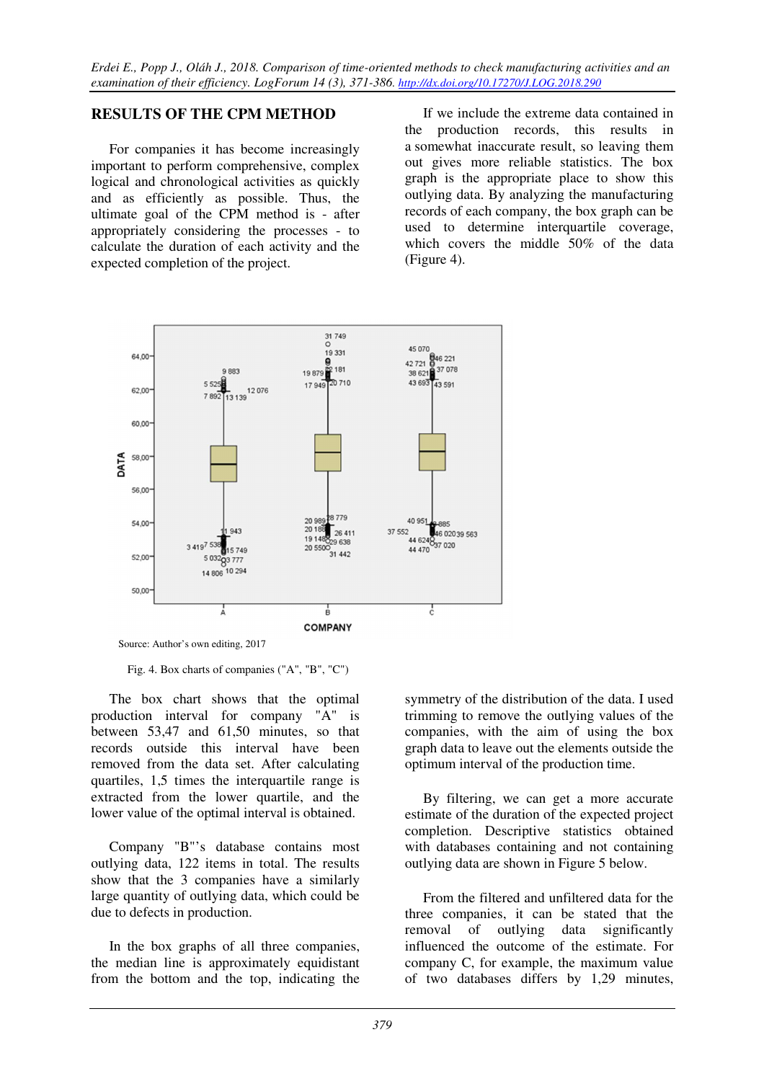## **RESULTS OF THE CPM METHOD**

For companies it has become increasingly important to perform comprehensive, complex logical and chronological activities as quickly and as efficiently as possible. Thus, the ultimate goal of the CPM method is - after appropriately considering the processes - to calculate the duration of each activity and the expected completion of the project.

If we include the extreme data contained in the production records, this results in a somewhat inaccurate result, so leaving them out gives more reliable statistics. The box graph is the appropriate place to show this outlying data. By analyzing the manufacturing records of each company, the box graph can be used to determine interquartile coverage, which covers the middle 50% of the data (Figure 4).



Source: Author's own editing, 2017

Fig. 4. Box charts of companies ("A", "B", "C")

The box chart shows that the optimal production interval for company "A" is between 53,47 and 61,50 minutes, so that records outside this interval have been removed from the data set. After calculating quartiles, 1,5 times the interquartile range is extracted from the lower quartile, and the lower value of the optimal interval is obtained.

Company "B"'s database contains most outlying data, 122 items in total. The results show that the 3 companies have a similarly large quantity of outlying data, which could be due to defects in production.

In the box graphs of all three companies, the median line is approximately equidistant from the bottom and the top, indicating the symmetry of the distribution of the data. I used trimming to remove the outlying values of the companies, with the aim of using the box graph data to leave out the elements outside the optimum interval of the production time.

By filtering, we can get a more accurate estimate of the duration of the expected project completion. Descriptive statistics obtained with databases containing and not containing outlying data are shown in Figure 5 below.

From the filtered and unfiltered data for the three companies, it can be stated that the removal of outlying data significantly influenced the outcome of the estimate. For company C, for example, the maximum value of two databases differs by 1,29 minutes,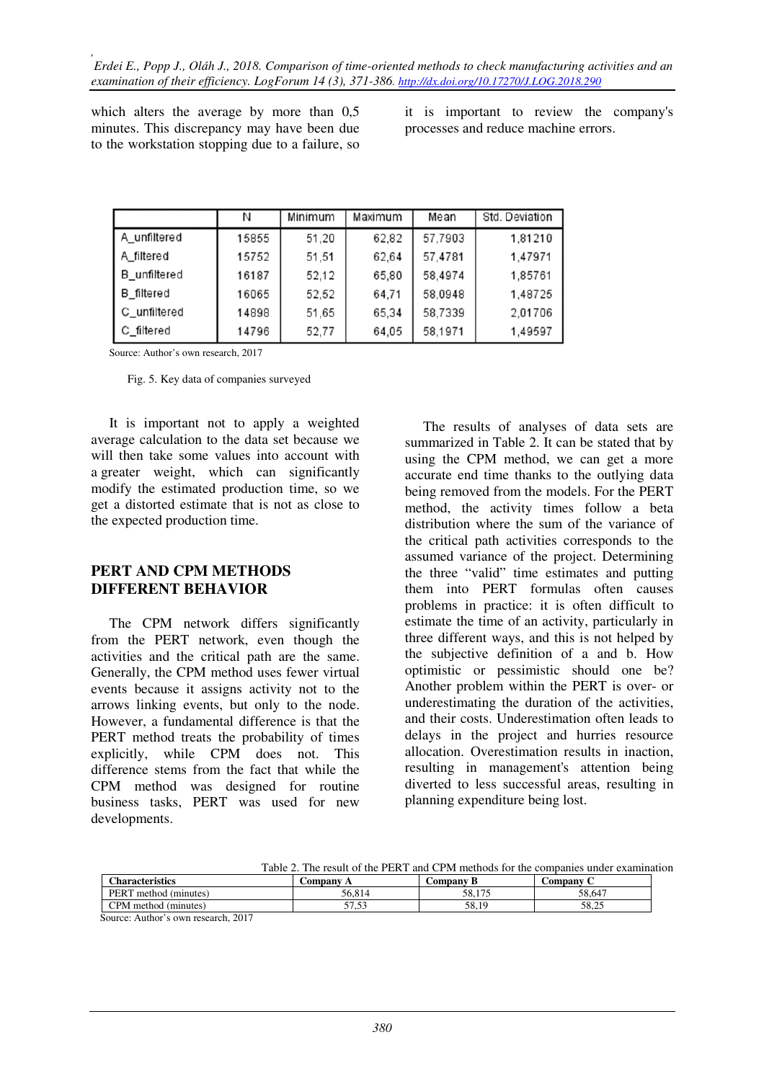which alters the average by more than  $0.5$ minutes. This discrepancy may have been due to the workstation stopping due to a failure, so

it is important to review the company's processes and reduce machine errors.

|                     | Ν     | Minimum | Maximum | Mean    | Std. Deviation |
|---------------------|-------|---------|---------|---------|----------------|
| A unfiltered        | 15855 | 51,20   | 62,82   | 57,7903 | 1,81210        |
| A filtered          | 15752 | 51,51   | 62,64   | 57,4781 | 1,47971        |
| <b>B</b> unfiltered | 16187 | 52,12   | 65,80   | 58,4974 | 1,85761        |
| B_filtered          | 16065 | 52,52   | 64,71   | 58.0948 | 1,48725        |
| C_unfiltered        | 14898 | 51,65   | 65,34   | 58,7339 | 2.01706        |
| C_filtered          | 14796 | 52,77   | 64,05   | 58,1971 | 1,49597        |

Source: Author's own research, 2017

Fig. 5. Key data of companies surveyed

It is important not to apply a weighted average calculation to the data set because we will then take some values into account with a greater weight, which can significantly modify the estimated production time, so we get a distorted estimate that is not as close to the expected production time.

#### **PERT AND CPM METHODS DIFFERENT BEHAVIOR**

The CPM network differs significantly from the PERT network, even though the activities and the critical path are the same. Generally, the CPM method uses fewer virtual events because it assigns activity not to the arrows linking events, but only to the node. However, a fundamental difference is that the PERT method treats the probability of times explicitly, while CPM does not. This difference stems from the fact that while the CPM method was designed for routine business tasks, PERT was used for new developments.

The results of analyses of data sets are summarized in Table 2. It can be stated that by using the CPM method, we can get a more accurate end time thanks to the outlying data being removed from the models. For the PERT method, the activity times follow a beta distribution where the sum of the variance of the critical path activities corresponds to the assumed variance of the project. Determining the three "valid" time estimates and putting them into PERT formulas often causes problems in practice: it is often difficult to estimate the time of an activity, particularly in three different ways, and this is not helped by the subjective definition of a and b. How optimistic or pessimistic should one be? Another problem within the PERT is over- or underestimating the duration of the activities, and their costs. Underestimation often leads to delays in the project and hurries resource allocation. Overestimation results in inaction, resulting in management's attention being diverted to less successful areas, resulting in planning expenditure being lost.

Table 2. The result of the PERT and CPM methods for the companies under examination

| <b>Characteristics</b>              | Company A | Company B | Company C |
|-------------------------------------|-----------|-----------|-----------|
| PERT method (minutes)               | 56.814    | 58.175    | 58,647    |
| CPM method (minutes)                | ر ر. .    | 58.19     | 58.25     |
| Source: Author's own research, 2017 |           |           |           |

*380*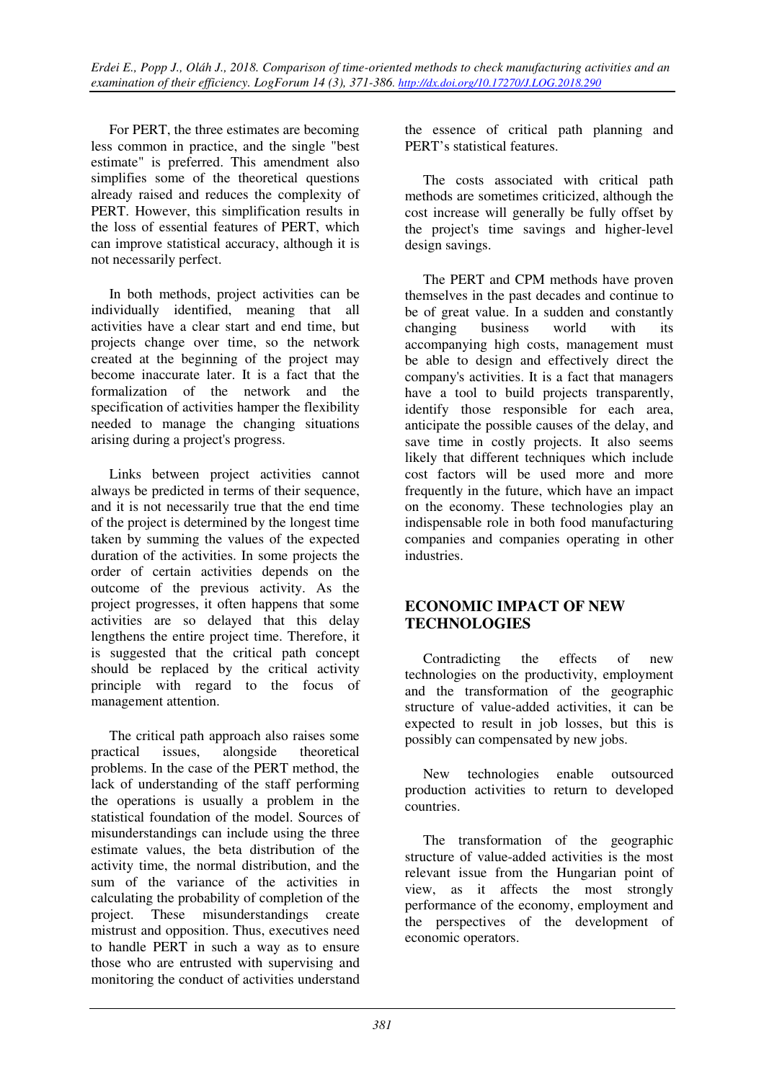For PERT, the three estimates are becoming less common in practice, and the single "best estimate" is preferred. This amendment also simplifies some of the theoretical questions already raised and reduces the complexity of PERT. However, this simplification results in the loss of essential features of PERT, which can improve statistical accuracy, although it is not necessarily perfect.

In both methods, project activities can be individually identified, meaning that all activities have a clear start and end time, but projects change over time, so the network created at the beginning of the project may become inaccurate later. It is a fact that the formalization of the network and the specification of activities hamper the flexibility needed to manage the changing situations arising during a project's progress.

Links between project activities cannot always be predicted in terms of their sequence, and it is not necessarily true that the end time of the project is determined by the longest time taken by summing the values of the expected duration of the activities. In some projects the order of certain activities depends on the outcome of the previous activity. As the project progresses, it often happens that some activities are so delayed that this delay lengthens the entire project time. Therefore, it is suggested that the critical path concept should be replaced by the critical activity principle with regard to the focus of management attention.

The critical path approach also raises some practical issues, alongside theoretical problems. In the case of the PERT method, the lack of understanding of the staff performing the operations is usually a problem in the statistical foundation of the model. Sources of misunderstandings can include using the three estimate values, the beta distribution of the activity time, the normal distribution, and the sum of the variance of the activities in calculating the probability of completion of the project. These misunderstandings create mistrust and opposition. Thus, executives need to handle PERT in such a way as to ensure those who are entrusted with supervising and monitoring the conduct of activities understand the essence of critical path planning and PERT's statistical features.

The costs associated with critical path methods are sometimes criticized, although the cost increase will generally be fully offset by the project's time savings and higher-level design savings.

The PERT and CPM methods have proven themselves in the past decades and continue to be of great value. In a sudden and constantly changing business world with its accompanying high costs, management must be able to design and effectively direct the company's activities. It is a fact that managers have a tool to build projects transparently, identify those responsible for each area, anticipate the possible causes of the delay, and save time in costly projects. It also seems likely that different techniques which include cost factors will be used more and more frequently in the future, which have an impact on the economy. These technologies play an indispensable role in both food manufacturing companies and companies operating in other industries.

## **ECONOMIC IMPACT OF NEW TECHNOLOGIES**

Contradicting the effects of new technologies on the productivity, employment and the transformation of the geographic structure of value-added activities, it can be expected to result in job losses, but this is possibly can compensated by new jobs.

New technologies enable outsourced production activities to return to developed countries.

The transformation of the geographic structure of value-added activities is the most relevant issue from the Hungarian point of view, as it affects the most strongly performance of the economy, employment and the perspectives of the development of economic operators.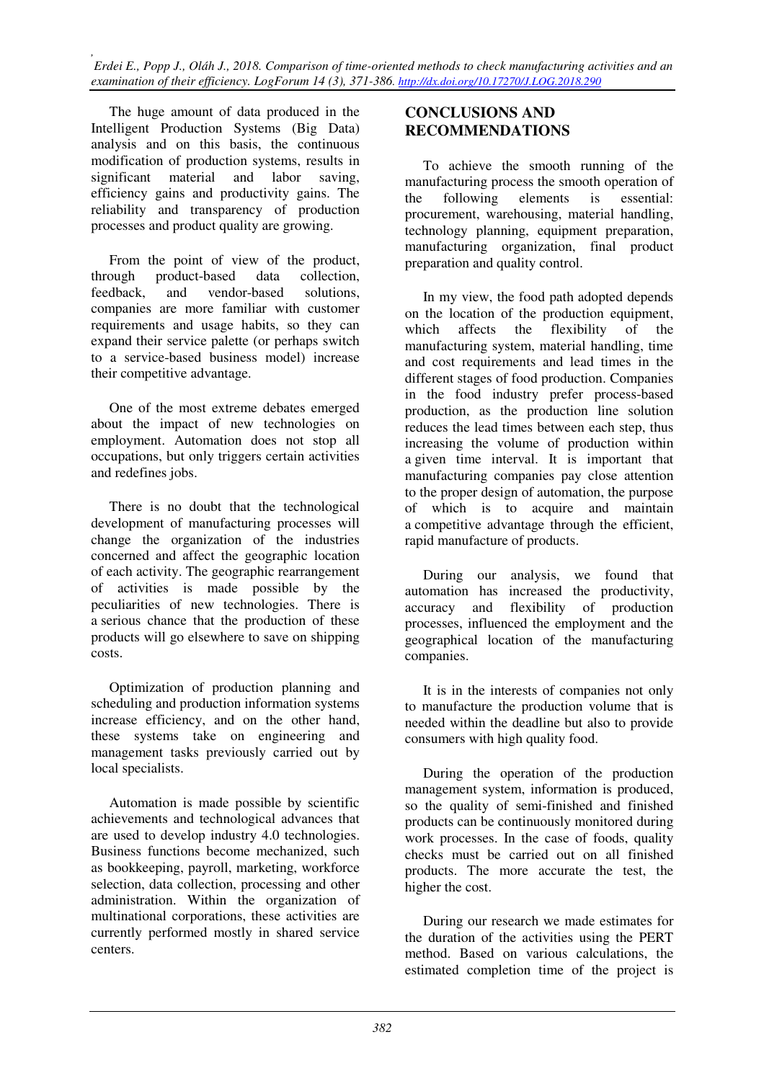The huge amount of data produced in the Intelligent Production Systems (Big Data) analysis and on this basis, the continuous modification of production systems, results in significant material and labor saving, efficiency gains and productivity gains. The reliability and transparency of production processes and product quality are growing.

From the point of view of the product, through product-based data collection, feedback, and vendor-based solutions, companies are more familiar with customer requirements and usage habits, so they can expand their service palette (or perhaps switch to a service-based business model) increase their competitive advantage.

One of the most extreme debates emerged about the impact of new technologies on employment. Automation does not stop all occupations, but only triggers certain activities and redefines jobs.

There is no doubt that the technological development of manufacturing processes will change the organization of the industries concerned and affect the geographic location of each activity. The geographic rearrangement of activities is made possible by the peculiarities of new technologies. There is a serious chance that the production of these products will go elsewhere to save on shipping costs.

Optimization of production planning and scheduling and production information systems increase efficiency, and on the other hand, these systems take on engineering and management tasks previously carried out by local specialists.

Automation is made possible by scientific achievements and technological advances that are used to develop industry 4.0 technologies. Business functions become mechanized, such as bookkeeping, payroll, marketing, workforce selection, data collection, processing and other administration. Within the organization of multinational corporations, these activities are currently performed mostly in shared service centers.

## **CONCLUSIONS AND RECOMMENDATIONS**

To achieve the smooth running of the manufacturing process the smooth operation of the following elements is essential: procurement, warehousing, material handling, technology planning, equipment preparation, manufacturing organization, final product preparation and quality control.

In my view, the food path adopted depends on the location of the production equipment, which affects the flexibility of the manufacturing system, material handling, time and cost requirements and lead times in the different stages of food production. Companies in the food industry prefer process-based production, as the production line solution reduces the lead times between each step, thus increasing the volume of production within a given time interval. It is important that manufacturing companies pay close attention to the proper design of automation, the purpose of which is to acquire and maintain a competitive advantage through the efficient, rapid manufacture of products.

During our analysis, we found that automation has increased the productivity, accuracy and flexibility of production processes, influenced the employment and the geographical location of the manufacturing companies.

It is in the interests of companies not only to manufacture the production volume that is needed within the deadline but also to provide consumers with high quality food.

During the operation of the production management system, information is produced, so the quality of semi-finished and finished products can be continuously monitored during work processes. In the case of foods, quality checks must be carried out on all finished products. The more accurate the test, the higher the cost.

During our research we made estimates for the duration of the activities using the PERT method. Based on various calculations, the estimated completion time of the project is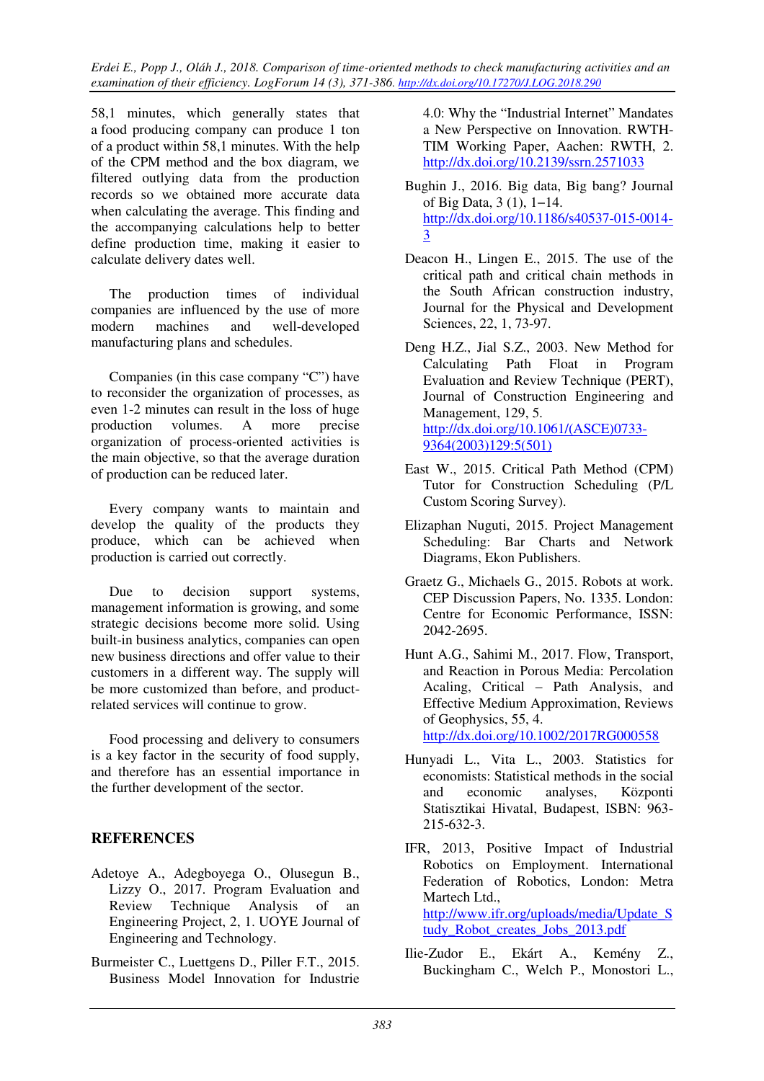58,1 minutes, which generally states that a food producing company can produce 1 ton of a product within 58,1 minutes. With the help of the CPM method and the box diagram, we filtered outlying data from the production records so we obtained more accurate data when calculating the average. This finding and the accompanying calculations help to better define production time, making it easier to calculate delivery dates well.

The production times of individual companies are influenced by the use of more modern machines and well-developed manufacturing plans and schedules.

Companies (in this case company "C") have to reconsider the organization of processes, as even 1-2 minutes can result in the loss of huge production volumes. A more precise organization of process-oriented activities is the main objective, so that the average duration of production can be reduced later.

Every company wants to maintain and develop the quality of the products they produce, which can be achieved when production is carried out correctly.

Due to decision support systems, management information is growing, and some strategic decisions become more solid. Using built-in business analytics, companies can open new business directions and offer value to their customers in a different way. The supply will be more customized than before, and productrelated services will continue to grow.

Food processing and delivery to consumers is a key factor in the security of food supply, and therefore has an essential importance in the further development of the sector.

## **REFERENCES**

- Adetoye A., Adegboyega O., Olusegun B., Lizzy O., 2017. Program Evaluation and Review Technique Analysis of an Engineering Project, 2, 1. UOYE Journal of Engineering and Technology.
- Burmeister C., Luettgens D., Piller F.T., 2015. Business Model Innovation for Industrie

4.0: Why the "Industrial Internet" Mandates a New Perspective on Innovation. RWTH-TIM Working Paper, Aachen: RWTH, 2. http://dx.doi.org/10.2139/ssrn.2571033

- Bughin J., 2016. Big data, Big bang? Journal of Big Data, 3 (1), 1−14. http://dx.doi.org/10.1186/s40537-015-0014- 3
- Deacon H., Lingen E., 2015. The use of the critical path and critical chain methods in the South African construction industry, Journal for the Physical and Development Sciences, 22, 1, 73-97.
- Deng H.Z., Jial S.Z., 2003. New Method for Calculating Path Float in Program Evaluation and Review Technique (PERT), Journal of Construction Engineering and Management, 129, 5. http://dx.doi.org/10.1061/(ASCE)0733- 9364(2003)129:5(501)
- East W., 2015. Critical Path Method (CPM) Tutor for Construction Scheduling (P/L Custom Scoring Survey).
- Elizaphan Nuguti, 2015. Project Management Scheduling: Bar Charts and Network Diagrams, Ekon Publishers.
- Graetz G., Michaels G., 2015. Robots at work. CEP Discussion Papers, No. 1335. London: Centre for Economic Performance, ISSN: 2042-2695.
- Hunt A.G., Sahimi M., 2017. Flow, Transport, and Reaction in Porous Media: Percolation Acaling, Critical – Path Analysis, and Effective Medium Approximation, Reviews of Geophysics, 55, 4. http://dx.doi.org/10.1002/2017RG000558

Hunyadi L., Vita L., 2003. Statistics for economists: Statistical methods in the social and economic analyses, Központi Statisztikai Hivatal, Budapest, ISBN: 963- 215-632-3.

- IFR, 2013, Positive Impact of Industrial Robotics on Employment. International Federation of Robotics, London: Metra Martech Ltd., http://www.ifr.org/uploads/media/Update\_S tudy\_Robot\_creates\_Jobs\_2013.pdf
- Ilie-Zudor E., Ekárt A., Kemény Z., Buckingham C., Welch P., Monostori L.,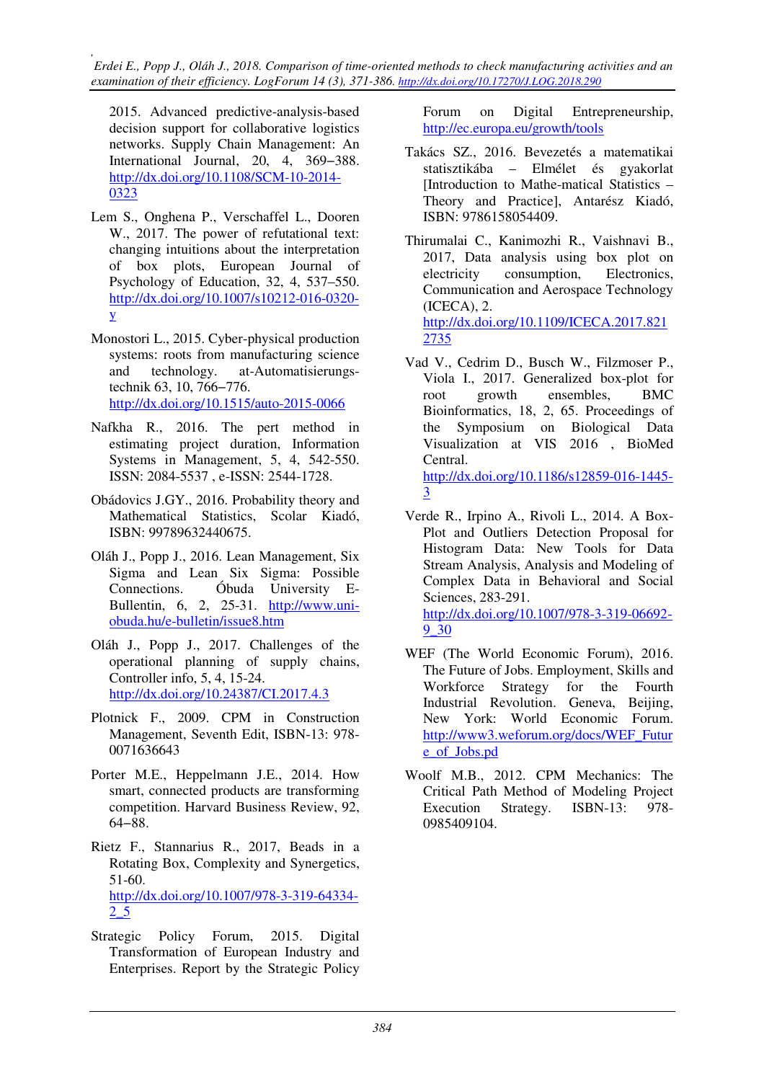2015. Advanced predictive-analysis-based decision support for collaborative logistics networks. Supply Chain Management: An International Journal, 20, 4, 369−388. http://dx.doi.org/10.1108/SCM-10-2014- 0323

- Lem S., Onghena P., Verschaffel L., Dooren W., 2017. The power of refutational text: changing intuitions about the interpretation of box plots, European Journal of Psychology of Education, 32, 4, 537–550. http://dx.doi.org/10.1007/s10212-016-0320 y
- Monostori L., 2015. Cyber-physical production systems: roots from manufacturing science and technology. at-Automatisierungstechnik 63, 10, 766−776. http://dx.doi.org/10.1515/auto-2015-0066
- Nafkha R., 2016. The pert method in estimating project duration, Information Systems in Management, 5, 4, 542-550. ISSN: 2084-5537 , e-ISSN: 2544-1728.
- Obádovics J.GY., 2016. Probability theory and Mathematical Statistics, Scolar Kiadó, ISBN: 99789632440675.
- Oláh J., Popp J., 2016. Lean Management, Six Sigma and Lean Six Sigma: Possible Connections. Óbuda University E-Bullentin,  $6, 2, 25-31.$  http://www.uniobuda.hu/e-bulletin/issue8.htm
- Oláh J., Popp J., 2017. Challenges of the operational planning of supply chains, Controller info, 5, 4, 15-24. http://dx.doi.org/10.24387/CI.2017.4.3
- Plotnick F., 2009. CPM in Construction Management, Seventh Edit, ISBN-13: 978- 0071636643
- Porter M.E., Heppelmann J.E., 2014. How smart, connected products are transforming competition. Harvard Business Review, 92, 64−88.
- Rietz F., Stannarius R., 2017, Beads in a Rotating Box, Complexity and Synergetics, 51-60. http://dx.doi.org/10.1007/978-3-319-64334- 2\_5
- Strategic Policy Forum, 2015. Digital Transformation of European Industry and Enterprises. Report by the Strategic Policy

Forum on Digital Entrepreneurship, http://ec.europa.eu/growth/tools

- Takács SZ., 2016. Bevezetés a matematikai statisztikába – Elmélet és gyakorlat [Introduction to Mathe-matical Statistics – Theory and Practice], Antarész Kiadó, ISBN: 9786158054409.
- Thirumalai C., Kanimozhi R., Vaishnavi B., 2017, Data analysis using box plot on electricity consumption, Electronics, Communication and Aerospace Technology (ICECA), 2. http://dx.doi.org/10.1109/ICECA.2017.821 2735
- Vad V., Cedrim D., Busch W., Filzmoser P., Viola I., 2017. Generalized box-plot for root growth ensembles, BMC Bioinformatics, 18, 2, 65. Proceedings of the Symposium on Biological Data Visualization at VIS 2016 , BioMed Central. http://dx.doi.org/10.1186/s12859-016-1445-

3

- Verde R., Irpino A., Rivoli L., 2014. A Box-Plot and Outliers Detection Proposal for Histogram Data: New Tools for Data Stream Analysis, Analysis and Modeling of Complex Data in Behavioral and Social Sciences, 283-291. http://dx.doi.org/10.1007/978-3-319-06692- 9\_30
- WEF (The World Economic Forum), 2016. The Future of Jobs. Employment, Skills and Workforce Strategy for the Fourth Industrial Revolution. Geneva, Beijing, New York: World Economic Forum. http://www3.weforum.org/docs/WEF\_Futur e\_of\_Jobs.pd
- Woolf M.B., 2012. CPM Mechanics: The Critical Path Method of Modeling Project Execution Strategy. ISBN-13: 978- 0985409104.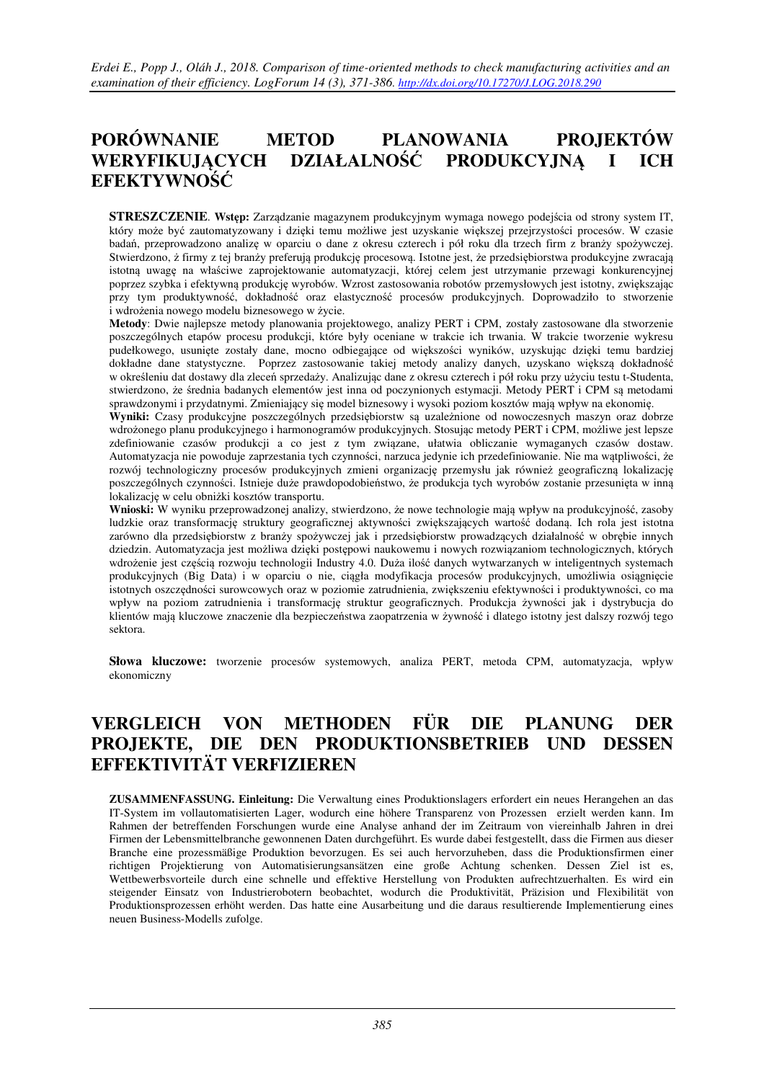# **PORÓWNANIE METOD PLANOWANIA PROJEKTÓW WERYFIKUJĄCYCH DZIAŁALNOŚĆ PRODUKCYJNĄ I ICH EFEKTYWNOŚĆ**

**STRESZCZENIE**. **Wstęp:** Zarządzanie magazynem produkcyjnym wymaga nowego podejścia od strony system IT, który może być zautomatyzowany i dzięki temu możliwe jest uzyskanie większej przejrzystości procesów. W czasie badań, przeprowadzono analizę w oparciu o dane z okresu czterech i pół roku dla trzech firm z branży spożywczej. Stwierdzono, ż firmy z tej branży preferują produkcję procesową. Istotne jest, że przedsiębiorstwa produkcyjne zwracają istotną uwagę na właściwe zaprojektowanie automatyzacji, której celem jest utrzymanie przewagi konkurencyjnej poprzez szybka i efektywną produkcję wyrobów. Wzrost zastosowania robotów przemysłowych jest istotny, zwiększając przy tym produktywność, dokładność oraz elastyczność procesów produkcyjnych. Doprowadziło to stworzenie i wdrożenia nowego modelu biznesowego w życie.

**Metody**: Dwie najlepsze metody planowania projektowego, analizy PERT i CPM, zostały zastosowane dla stworzenie poszczególnych etapów procesu produkcji, które były oceniane w trakcie ich trwania. W trakcie tworzenie wykresu pudełkowego, usunięte zostały dane, mocno odbiegające od większości wyników, uzyskując dzięki temu bardziej dokładne dane statystyczne. Poprzez zastosowanie takiej metody analizy danych, uzyskano większą dokładność w określeniu dat dostawy dla zleceń sprzedaży. Analizując dane z okresu czterech i pół roku przy użyciu testu t-Studenta, stwierdzono, że średnia badanych elementów jest inna od poczynionych estymacji. Metody PERT i CPM są metodami sprawdzonymi i przydatnymi. Zmieniający się model biznesowy i wysoki poziom kosztów mają wpływ na ekonomię.

**Wyniki:** Czasy produkcyjne poszczególnych przedsiębiorstw są uzależnione od nowoczesnych maszyn oraz dobrze wdrożonego planu produkcyjnego i harmonogramów produkcyjnych. Stosując metody PERT i CPM, możliwe jest lepsze zdefiniowanie czasów produkcji a co jest z tym związane, ułatwia obliczanie wymaganych czasów dostaw. Automatyzacja nie powoduje zaprzestania tych czynności, narzuca jedynie ich przedefiniowanie. Nie ma wątpliwości, że rozwój technologiczny procesów produkcyjnych zmieni organizację przemysłu jak również geograficzną lokalizację poszczególnych czynności. Istnieje duże prawdopodobieństwo, że produkcja tych wyrobów zostanie przesunięta w inną lokalizację w celu obniżki kosztów transportu.

**Wnioski:** W wyniku przeprowadzonej analizy, stwierdzono, że nowe technologie mają wpływ na produkcyjność, zasoby ludzkie oraz transformację struktury geograficznej aktywności zwiększających wartość dodaną. Ich rola jest istotna zarówno dla przedsiębiorstw z branży spożywczej jak i przedsiębiorstw prowadzących działalność w obrębie innych dziedzin. Automatyzacja jest możliwa dzięki postępowi naukowemu i nowych rozwiązaniom technologicznych, których wdrożenie jest częścią rozwoju technologii Industry 4.0. Duża ilość danych wytwarzanych w inteligentnych systemach produkcyjnych (Big Data) i w oparciu o nie, ciągła modyfikacja procesów produkcyjnych, umożliwia osiągnięcie istotnych oszczędności surowcowych oraz w poziomie zatrudnienia, zwiększeniu efektywności i produktywności, co ma wpływ na poziom zatrudnienia i transformację struktur geograficznych. Produkcja żywności jak i dystrybucja do klientów mają kluczowe znaczenie dla bezpieczeństwa zaopatrzenia w żywność i dlatego istotny jest dalszy rozwój tego sektora.

**Słowa kluczowe:** tworzenie procesów systemowych, analiza PERT, metoda CPM, automatyzacja, wpływ ekonomiczny

# **VERGLEICH VON METHODEN FÜR DIE PLANUNG DER PROJEKTE, DIE DEN PRODUKTIONSBETRIEB UND DESSEN EFFEKTIVITÄT VERFIZIEREN**

**ZUSAMMENFASSUNG. Einleitung:** Die Verwaltung eines Produktionslagers erfordert ein neues Herangehen an das IT-System im vollautomatisierten Lager, wodurch eine höhere Transparenz von Prozessen erzielt werden kann. Im Rahmen der betreffenden Forschungen wurde eine Analyse anhand der im Zeitraum von viereinhalb Jahren in drei Firmen der Lebensmittelbranche gewonnenen Daten durchgeführt. Es wurde dabei festgestellt, dass die Firmen aus dieser Branche eine prozessmäßige Produktion bevorzugen. Es sei auch hervorzuheben, dass die Produktionsfirmen einer richtigen Projektierung von Automatisierungsansätzen eine große Achtung schenken. Dessen Ziel ist es, Wettbewerbsvorteile durch eine schnelle und effektive Herstellung von Produkten aufrechtzuerhalten. Es wird ein steigender Einsatz von Industrierobotern beobachtet, wodurch die Produktivität, Präzision und Flexibilität von Produktionsprozessen erhöht werden. Das hatte eine Ausarbeitung und die daraus resultierende Implementierung eines neuen Business-Modells zufolge.